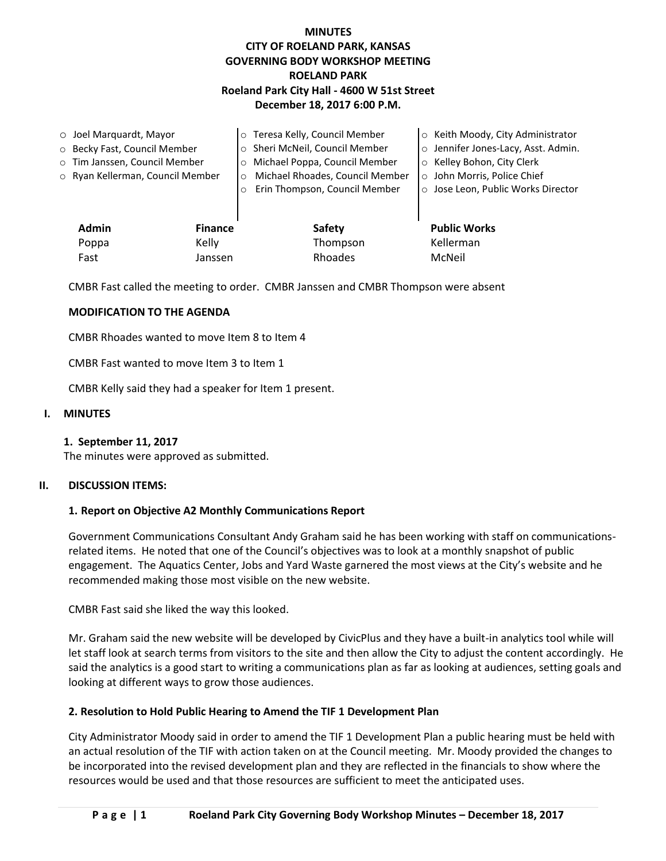# **MINUTES CITY OF ROELAND PARK, KANSAS GOVERNING BODY WORKSHOP MEETING ROELAND PARK Roeland Park City Hall - 4600 W 51st Street December 18, 2017 6:00 P.M.**

| $\circ$ Joel Marquardt, Mayor |                                  |                | o Teresa Kelly, Council Member             | ○ Keith Moody, City Administrator   |
|-------------------------------|----------------------------------|----------------|--------------------------------------------|-------------------------------------|
|                               | ○ Becky Fast, Council Member     |                | o Sheri McNeil, Council Member             | o Jennifer Jones-Lacy, Asst. Admin. |
|                               | o Tim Janssen, Council Member    |                | o Michael Poppa, Council Member            | o Kelley Bohon, City Clerk          |
|                               | o Ryan Kellerman, Council Member |                | Michael Rhoades, Council Member<br>$\circ$ | o John Morris, Police Chief         |
|                               |                                  |                | Erin Thompson, Council Member<br>$\circ$   | o Jose Leon, Public Works Director  |
|                               |                                  |                |                                            |                                     |
|                               | <b>Admin</b>                     | <b>Finance</b> | Safety                                     | <b>Public Works</b>                 |
|                               | Poppa                            | Kelly          | Thompson                                   | Kellerman                           |
|                               | Fast                             | Janssen        | Rhoades                                    | McNeil                              |

CMBR Fast called the meeting to order. CMBR Janssen and CMBR Thompson were absent

## **MODIFICATION TO THE AGENDA**

CMBR Rhoades wanted to move Item 8 to Item 4

CMBR Fast wanted to move Item 3 to Item 1

CMBR Kelly said they had a speaker for Item 1 present.

### **I. MINUTES**

#### **1. September 11, 2017**

The minutes were approved as submitted.

#### **II. DISCUSSION ITEMS:**

#### **1. Report on Objective A2 Monthly Communications Report**

Government Communications Consultant Andy Graham said he has been working with staff on communicationsrelated items. He noted that one of the Council's objectives was to look at a monthly snapshot of public engagement. The Aquatics Center, Jobs and Yard Waste garnered the most views at the City's website and he recommended making those most visible on the new website.

CMBR Fast said she liked the way this looked.

Mr. Graham said the new website will be developed by CivicPlus and they have a built-in analytics tool while will let staff look at search terms from visitors to the site and then allow the City to adjust the content accordingly. He said the analytics is a good start to writing a communications plan as far as looking at audiences, setting goals and looking at different ways to grow those audiences.

## **2. Resolution to Hold Public Hearing to Amend the TIF 1 Development Plan**

City Administrator Moody said in order to amend the TIF 1 Development Plan a public hearing must be held with an actual resolution of the TIF with action taken on at the Council meeting. Mr. Moody provided the changes to be incorporated into the revised development plan and they are reflected in the financials to show where the resources would be used and that those resources are sufficient to meet the anticipated uses.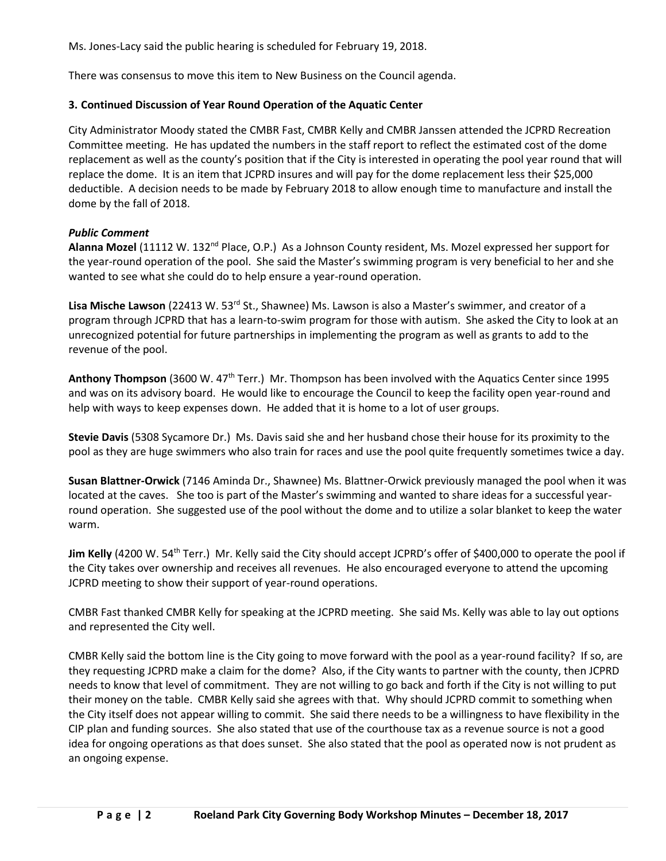Ms. Jones-Lacy said the public hearing is scheduled for February 19, 2018.

There was consensus to move this item to New Business on the Council agenda.

# **3. Continued Discussion of Year Round Operation of the Aquatic Center**

City Administrator Moody stated the CMBR Fast, CMBR Kelly and CMBR Janssen attended the JCPRD Recreation Committee meeting. He has updated the numbers in the staff report to reflect the estimated cost of the dome replacement as well as the county's position that if the City is interested in operating the pool year round that will replace the dome. It is an item that JCPRD insures and will pay for the dome replacement less their \$25,000 deductible. A decision needs to be made by February 2018 to allow enough time to manufacture and install the dome by the fall of 2018.

# *Public Comment*

Alanna Mozel (11112 W. 132<sup>nd</sup> Place, O.P.) As a Johnson County resident, Ms. Mozel expressed her support for the year-round operation of the pool. She said the Master's swimming program is very beneficial to her and she wanted to see what she could do to help ensure a year-round operation.

Lisa Mische Lawson (22413 W. 53<sup>rd</sup> St., Shawnee) Ms. Lawson is also a Master's swimmer, and creator of a program through JCPRD that has a learn-to-swim program for those with autism. She asked the City to look at an unrecognized potential for future partnerships in implementing the program as well as grants to add to the revenue of the pool.

**Anthony Thompson** (3600 W. 47th Terr.) Mr. Thompson has been involved with the Aquatics Center since 1995 and was on its advisory board. He would like to encourage the Council to keep the facility open year-round and help with ways to keep expenses down. He added that it is home to a lot of user groups.

**Stevie Davis** (5308 Sycamore Dr.) Ms. Davis said she and her husband chose their house for its proximity to the pool as they are huge swimmers who also train for races and use the pool quite frequently sometimes twice a day.

**Susan Blattner-Orwick** (7146 Aminda Dr., Shawnee) Ms. Blattner-Orwick previously managed the pool when it was located at the caves. She too is part of the Master's swimming and wanted to share ideas for a successful yearround operation. She suggested use of the pool without the dome and to utilize a solar blanket to keep the water warm.

**Jim Kelly** (4200 W. 54<sup>th</sup> Terr.) Mr. Kelly said the City should accept JCPRD's offer of \$400,000 to operate the pool if the City takes over ownership and receives all revenues. He also encouraged everyone to attend the upcoming JCPRD meeting to show their support of year-round operations.

CMBR Fast thanked CMBR Kelly for speaking at the JCPRD meeting. She said Ms. Kelly was able to lay out options and represented the City well.

CMBR Kelly said the bottom line is the City going to move forward with the pool as a year-round facility? If so, are they requesting JCPRD make a claim for the dome? Also, if the City wants to partner with the county, then JCPRD needs to know that level of commitment. They are not willing to go back and forth if the City is not willing to put their money on the table. CMBR Kelly said she agrees with that. Why should JCPRD commit to something when the City itself does not appear willing to commit. She said there needs to be a willingness to have flexibility in the CIP plan and funding sources. She also stated that use of the courthouse tax as a revenue source is not a good idea for ongoing operations as that does sunset. She also stated that the pool as operated now is not prudent as an ongoing expense.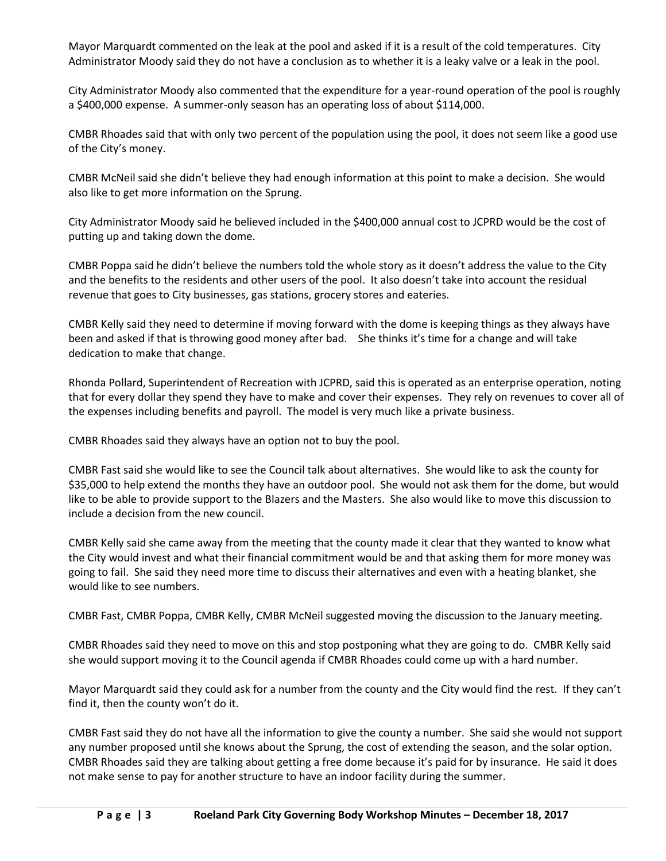Mayor Marquardt commented on the leak at the pool and asked if it is a result of the cold temperatures. City Administrator Moody said they do not have a conclusion as to whether it is a leaky valve or a leak in the pool.

City Administrator Moody also commented that the expenditure for a year-round operation of the pool is roughly a \$400,000 expense. A summer-only season has an operating loss of about \$114,000.

CMBR Rhoades said that with only two percent of the population using the pool, it does not seem like a good use of the City's money.

CMBR McNeil said she didn't believe they had enough information at this point to make a decision. She would also like to get more information on the Sprung.

City Administrator Moody said he believed included in the \$400,000 annual cost to JCPRD would be the cost of putting up and taking down the dome.

CMBR Poppa said he didn't believe the numbers told the whole story as it doesn't address the value to the City and the benefits to the residents and other users of the pool. It also doesn't take into account the residual revenue that goes to City businesses, gas stations, grocery stores and eateries.

CMBR Kelly said they need to determine if moving forward with the dome is keeping things as they always have been and asked if that is throwing good money after bad. She thinks it's time for a change and will take dedication to make that change.

Rhonda Pollard, Superintendent of Recreation with JCPRD, said this is operated as an enterprise operation, noting that for every dollar they spend they have to make and cover their expenses. They rely on revenues to cover all of the expenses including benefits and payroll. The model is very much like a private business.

CMBR Rhoades said they always have an option not to buy the pool.

CMBR Fast said she would like to see the Council talk about alternatives. She would like to ask the county for \$35,000 to help extend the months they have an outdoor pool. She would not ask them for the dome, but would like to be able to provide support to the Blazers and the Masters. She also would like to move this discussion to include a decision from the new council.

CMBR Kelly said she came away from the meeting that the county made it clear that they wanted to know what the City would invest and what their financial commitment would be and that asking them for more money was going to fail. She said they need more time to discuss their alternatives and even with a heating blanket, she would like to see numbers.

CMBR Fast, CMBR Poppa, CMBR Kelly, CMBR McNeil suggested moving the discussion to the January meeting.

CMBR Rhoades said they need to move on this and stop postponing what they are going to do. CMBR Kelly said she would support moving it to the Council agenda if CMBR Rhoades could come up with a hard number.

Mayor Marquardt said they could ask for a number from the county and the City would find the rest. If they can't find it, then the county won't do it.

CMBR Fast said they do not have all the information to give the county a number. She said she would not support any number proposed until she knows about the Sprung, the cost of extending the season, and the solar option. CMBR Rhoades said they are talking about getting a free dome because it's paid for by insurance. He said it does not make sense to pay for another structure to have an indoor facility during the summer.